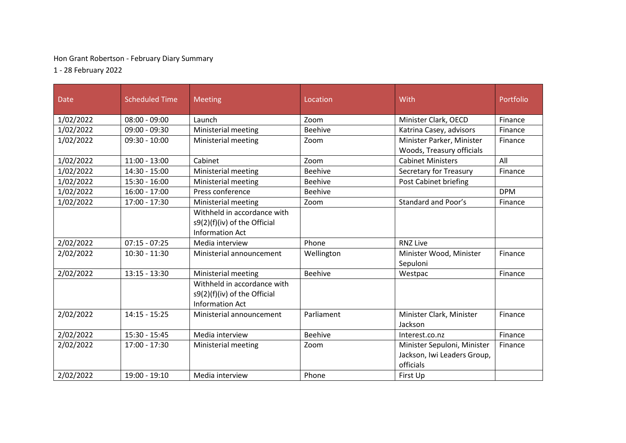## Hon Grant Robertson - February Diary Summary

1 - 28 February 2022

| <b>Date</b> | <b>Scheduled Time</b> | <b>Meeting</b>                                                                        | Location       | With                                                                    | Portfolio  |
|-------------|-----------------------|---------------------------------------------------------------------------------------|----------------|-------------------------------------------------------------------------|------------|
| 1/02/2022   | $08:00 - 09:00$       | Launch                                                                                | Zoom           | Minister Clark, OECD                                                    | Finance    |
| 1/02/2022   | $09:00 - 09:30$       | Ministerial meeting                                                                   | <b>Beehive</b> | Katrina Casey, advisors                                                 | Finance    |
| 1/02/2022   | $09:30 - 10:00$       | Ministerial meeting                                                                   | Zoom           | Minister Parker, Minister<br>Woods, Treasury officials                  | Finance    |
| 1/02/2022   | $11:00 - 13:00$       | Cabinet                                                                               | Zoom           | <b>Cabinet Ministers</b>                                                | All        |
| 1/02/2022   | 14:30 - 15:00         | Ministerial meeting                                                                   | <b>Beehive</b> | Secretary for Treasury                                                  | Finance    |
| 1/02/2022   | $15:30 - 16:00$       | Ministerial meeting                                                                   | <b>Beehive</b> | Post Cabinet briefing                                                   |            |
| 1/02/2022   | $16:00 - 17:00$       | Press conference                                                                      | <b>Beehive</b> |                                                                         | <b>DPM</b> |
| 1/02/2022   | $17:00 - 17:30$       | Ministerial meeting                                                                   | Zoom           | <b>Standard and Poor's</b>                                              | Finance    |
|             |                       | Withheld in accordance with<br>s9(2)(f)(iv) of the Official<br><b>Information Act</b> |                |                                                                         |            |
| 2/02/2022   | $07:15 - 07:25$       | Media interview                                                                       | Phone          | <b>RNZ Live</b>                                                         |            |
| 2/02/2022   | $10:30 - 11:30$       | Ministerial announcement                                                              | Wellington     | Minister Wood, Minister<br>Sepuloni                                     | Finance    |
| 2/02/2022   | $13:15 - 13:30$       | Ministerial meeting                                                                   | <b>Beehive</b> | Westpac                                                                 | Finance    |
|             |                       | Withheld in accordance with<br>s9(2)(f)(iv) of the Official<br><b>Information Act</b> |                |                                                                         |            |
| 2/02/2022   | $14:15 - 15:25$       | Ministerial announcement                                                              | Parliament     | Minister Clark, Minister<br>Jackson                                     | Finance    |
| 2/02/2022   | $15:30 - 15:45$       | Media interview                                                                       | <b>Beehive</b> | Interest.co.nz                                                          | Finance    |
| 2/02/2022   | 17:00 - 17:30         | Ministerial meeting                                                                   | Zoom           | Minister Sepuloni, Minister<br>Jackson, Iwi Leaders Group,<br>officials | Finance    |
| 2/02/2022   | 19:00 - 19:10         | Media interview                                                                       | Phone          | First Up                                                                |            |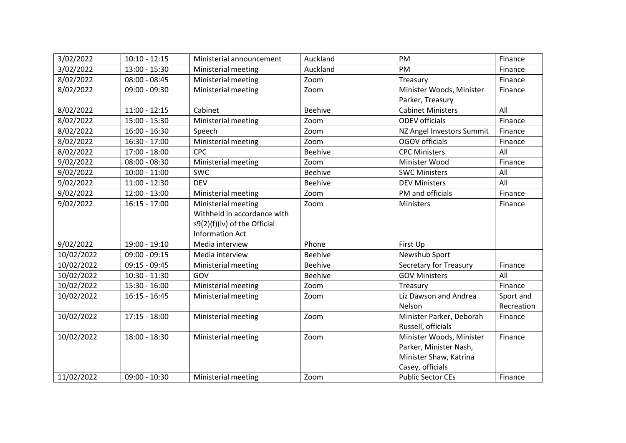| 3/02/2022  | $10:10 - 12:15$ | Ministerial announcement     | Auckland       | <b>PM</b>                 | Finance    |
|------------|-----------------|------------------------------|----------------|---------------------------|------------|
| 3/02/2022  | $13:00 - 15:30$ | Ministerial meeting          | Auckland       | PM                        | Finance    |
| 8/02/2022  | $08:00 - 08:45$ | Ministerial meeting          | Zoom           | Treasury                  | Finance    |
| 8/02/2022  | $09:00 - 09:30$ | Ministerial meeting          | Zoom           | Minister Woods, Minister  | Finance    |
|            |                 |                              |                | Parker, Treasury          |            |
| 8/02/2022  | $11:00 - 12:15$ | Cabinet                      | <b>Beehive</b> | <b>Cabinet Ministers</b>  | All        |
| 8/02/2022  | $15:00 - 15:30$ | Ministerial meeting          | Zoom           | <b>ODEV</b> officials     | Finance    |
| 8/02/2022  | $16:00 - 16:30$ | Speech                       | Zoom           | NZ Angel Investors Summit | Finance    |
| 8/02/2022  | $16:30 - 17:00$ | Ministerial meeting          | Zoom           | OGOV officials            | Finance    |
| 8/02/2022  | $17:00 - 18:00$ | <b>CPC</b>                   | <b>Beehive</b> | <b>CPC Ministers</b>      | All        |
| 9/02/2022  | $08:00 - 08:30$ | Ministerial meeting          | Zoom           | Minister Wood             | Finance    |
| 9/02/2022  | $10:00 - 11:00$ | <b>SWC</b>                   | <b>Beehive</b> | <b>SWC Ministers</b>      | All        |
| 9/02/2022  | $11:00 - 12:30$ | <b>DEV</b>                   | <b>Beehive</b> | <b>DEV Ministers</b>      | All        |
| 9/02/2022  | $12:00 - 13:00$ | Ministerial meeting          | Zoom           | PM and officials          | Finance    |
| 9/02/2022  | $16:15 - 17:00$ | Ministerial meeting          | Zoom           | Ministers                 | Finance    |
|            |                 | Withheld in accordance with  |                |                           |            |
|            |                 | s9(2)(f)(iv) of the Official |                |                           |            |
|            |                 | <b>Information Act</b>       |                |                           |            |
| 9/02/2022  | 19:00 - 19:10   | Media interview              | Phone          | First Up                  |            |
| 10/02/2022 | $09:00 - 09:15$ | Media interview              | <b>Beehive</b> | Newshub Sport             |            |
| 10/02/2022 | $09:15 - 09:45$ | Ministerial meeting          | <b>Beehive</b> | Secretary for Treasury    | Finance    |
| 10/02/2022 | $10:30 - 11:30$ | GOV                          | <b>Beehive</b> | <b>GOV Ministers</b>      | All        |
| 10/02/2022 | $15:30 - 16:00$ | Ministerial meeting          | Zoom           | Treasury                  | Finance    |
| 10/02/2022 | $16:15 - 16:45$ | Ministerial meeting          | Zoom           | Liz Dawson and Andrea     | Sport and  |
|            |                 |                              |                | Nelson                    | Recreation |
| 10/02/2022 | $17:15 - 18:00$ | Ministerial meeting          | Zoom           | Minister Parker, Deborah  | Finance    |
|            |                 |                              |                | Russell, officials        |            |
| 10/02/2022 | $18:00 - 18:30$ | Ministerial meeting          | Zoom           | Minister Woods, Minister  | Finance    |
|            |                 |                              |                | Parker, Minister Nash,    |            |
|            |                 |                              |                | Minister Shaw, Katrina    |            |
|            |                 |                              |                | Casey, officials          |            |
| 11/02/2022 | $09:00 - 10:30$ | Ministerial meeting          | Zoom           | <b>Public Sector CEs</b>  | Finance    |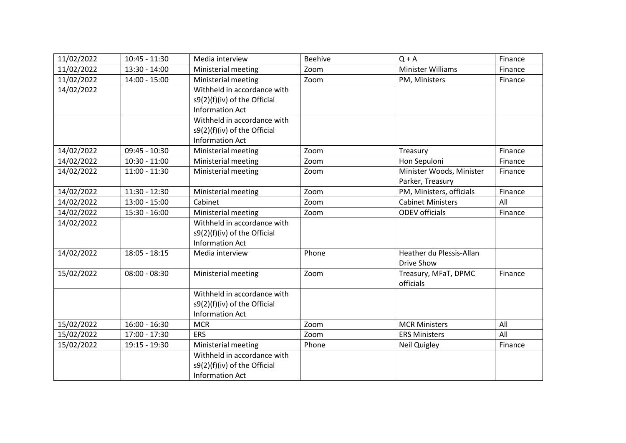| 11/02/2022 | $10:45 - 11:30$ | Media interview              | <b>Beehive</b> | $Q + A$                  | Finance |
|------------|-----------------|------------------------------|----------------|--------------------------|---------|
| 11/02/2022 | $13:30 - 14:00$ | Ministerial meeting          | Zoom           | Minister Williams        | Finance |
| 11/02/2022 | $14:00 - 15:00$ | Ministerial meeting          | Zoom           | PM, Ministers            | Finance |
| 14/02/2022 |                 | Withheld in accordance with  |                |                          |         |
|            |                 | s9(2)(f)(iv) of the Official |                |                          |         |
|            |                 | <b>Information Act</b>       |                |                          |         |
|            |                 | Withheld in accordance with  |                |                          |         |
|            |                 | s9(2)(f)(iv) of the Official |                |                          |         |
|            |                 | <b>Information Act</b>       |                |                          |         |
| 14/02/2022 | $09:45 - 10:30$ | Ministerial meeting          | Zoom           | Treasury                 | Finance |
| 14/02/2022 | $10:30 - 11:00$ | Ministerial meeting          | Zoom           | Hon Sepuloni             | Finance |
| 14/02/2022 | $11:00 - 11:30$ | Ministerial meeting          | Zoom           | Minister Woods, Minister | Finance |
|            |                 |                              |                | Parker, Treasury         |         |
| 14/02/2022 | $11:30 - 12:30$ | Ministerial meeting          | Zoom           | PM, Ministers, officials | Finance |
| 14/02/2022 | $13:00 - 15:00$ | Cabinet                      | Zoom           | <b>Cabinet Ministers</b> | All     |
| 14/02/2022 | 15:30 - 16:00   | Ministerial meeting          | Zoom           | <b>ODEV</b> officials    | Finance |
| 14/02/2022 |                 | Withheld in accordance with  |                |                          |         |
|            |                 | s9(2)(f)(iv) of the Official |                |                          |         |
|            |                 | <b>Information Act</b>       |                |                          |         |
| 14/02/2022 | $18:05 - 18:15$ | Media interview              | Phone          | Heather du Plessis-Allan |         |
|            |                 |                              |                | Drive Show               |         |
| 15/02/2022 | $08:00 - 08:30$ | Ministerial meeting          | Zoom           | Treasury, MFaT, DPMC     | Finance |
|            |                 |                              |                | officials                |         |
|            |                 | Withheld in accordance with  |                |                          |         |
|            |                 | s9(2)(f)(iv) of the Official |                |                          |         |
|            |                 | <b>Information Act</b>       |                |                          |         |
| 15/02/2022 | $16:00 - 16:30$ | <b>MCR</b>                   | Zoom           | <b>MCR Ministers</b>     | All     |
| 15/02/2022 | 17:00 - 17:30   | <b>ERS</b>                   | Zoom           | <b>ERS Ministers</b>     | All     |
| 15/02/2022 | 19:15 - 19:30   | Ministerial meeting          | Phone          | Neil Quigley             | Finance |
|            |                 | Withheld in accordance with  |                |                          |         |
|            |                 | s9(2)(f)(iv) of the Official |                |                          |         |
|            |                 | <b>Information Act</b>       |                |                          |         |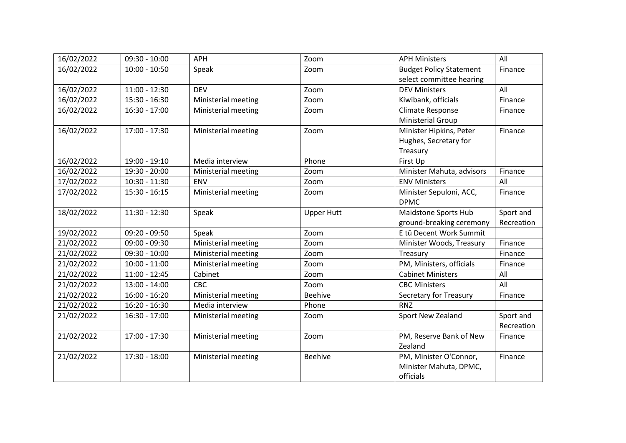| 16/02/2022 | $09:30 - 10:00$ | <b>APH</b>          | Zoom              | <b>APH Ministers</b>           | All        |
|------------|-----------------|---------------------|-------------------|--------------------------------|------------|
| 16/02/2022 | $10:00 - 10:50$ | Speak               | Zoom              | <b>Budget Policy Statement</b> | Finance    |
|            |                 |                     |                   | select committee hearing       |            |
| 16/02/2022 | $11:00 - 12:30$ | <b>DEV</b>          | Zoom              | <b>DEV Ministers</b>           | All        |
| 16/02/2022 | $15:30 - 16:30$ | Ministerial meeting | Zoom              | Kiwibank, officials            | Finance    |
| 16/02/2022 | $16:30 - 17:00$ | Ministerial meeting | Zoom              | Climate Response               | Finance    |
|            |                 |                     |                   | <b>Ministerial Group</b>       |            |
| 16/02/2022 | $17:00 - 17:30$ | Ministerial meeting | Zoom              | Minister Hipkins, Peter        | Finance    |
|            |                 |                     |                   | Hughes, Secretary for          |            |
|            |                 |                     |                   | Treasury                       |            |
| 16/02/2022 | 19:00 - 19:10   | Media interview     | Phone             | First Up                       |            |
| 16/02/2022 | 19:30 - 20:00   | Ministerial meeting | Zoom              | Minister Mahuta, advisors      | Finance    |
| 17/02/2022 | $10:30 - 11:30$ | <b>ENV</b>          | Zoom              | <b>ENV Ministers</b>           | All        |
| 17/02/2022 | $15:30 - 16:15$ | Ministerial meeting | Zoom              | Minister Sepuloni, ACC,        | Finance    |
|            |                 |                     |                   | <b>DPMC</b>                    |            |
| 18/02/2022 | $11:30 - 12:30$ | Speak               | <b>Upper Hutt</b> | Maidstone Sports Hub           | Sport and  |
|            |                 |                     |                   | ground-breaking ceremony       | Recreation |
| 19/02/2022 | 09:20 - 09:50   | Speak               | Zoom              | E tū Decent Work Summit        |            |
| 21/02/2022 | $09:00 - 09:30$ | Ministerial meeting | Zoom              | Minister Woods, Treasury       | Finance    |
| 21/02/2022 | $09:30 - 10:00$ | Ministerial meeting | Zoom              | Treasury                       | Finance    |
| 21/02/2022 | $10:00 - 11:00$ | Ministerial meeting | Zoom              | PM, Ministers, officials       | Finance    |
| 21/02/2022 | $11:00 - 12:45$ | Cabinet             | Zoom              | <b>Cabinet Ministers</b>       | All        |
| 21/02/2022 | 13:00 - 14:00   | CBC                 | Zoom              | <b>CBC Ministers</b>           | All        |
| 21/02/2022 | 16:00 - 16:20   | Ministerial meeting | <b>Beehive</b>    | Secretary for Treasury         | Finance    |
| 21/02/2022 | $16:20 - 16:30$ | Media interview     | Phone             | <b>RNZ</b>                     |            |
| 21/02/2022 | $16:30 - 17:00$ | Ministerial meeting | Zoom              | Sport New Zealand              | Sport and  |
|            |                 |                     |                   |                                | Recreation |
| 21/02/2022 | 17:00 - 17:30   | Ministerial meeting | Zoom              | PM, Reserve Bank of New        | Finance    |
|            |                 |                     |                   | Zealand                        |            |
| 21/02/2022 | $17:30 - 18:00$ | Ministerial meeting | <b>Beehive</b>    | PM, Minister O'Connor,         | Finance    |
|            |                 |                     |                   | Minister Mahuta, DPMC,         |            |
|            |                 |                     |                   | officials                      |            |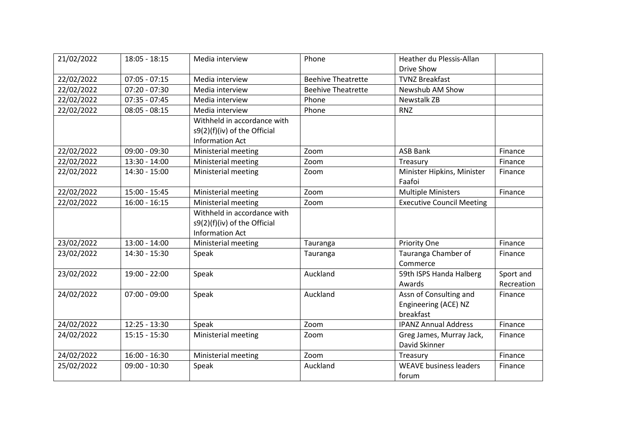| 21/02/2022 | $18:05 - 18:15$ | Media interview              | Phone                     | Heather du Plessis-Allan         |            |
|------------|-----------------|------------------------------|---------------------------|----------------------------------|------------|
|            |                 |                              |                           | Drive Show                       |            |
| 22/02/2022 | $07:05 - 07:15$ | Media interview              | <b>Beehive Theatrette</b> | <b>TVNZ Breakfast</b>            |            |
| 22/02/2022 | $07:20 - 07:30$ | Media interview              | <b>Beehive Theatrette</b> | Newshub AM Show                  |            |
| 22/02/2022 | $07:35 - 07:45$ | Media interview              | Phone                     | <b>Newstalk ZB</b>               |            |
| 22/02/2022 | $08:05 - 08:15$ | Media interview              | Phone                     | <b>RNZ</b>                       |            |
|            |                 | Withheld in accordance with  |                           |                                  |            |
|            |                 | s9(2)(f)(iv) of the Official |                           |                                  |            |
|            |                 | <b>Information Act</b>       |                           |                                  |            |
| 22/02/2022 | $09:00 - 09:30$ | Ministerial meeting          | Zoom                      | <b>ASB Bank</b>                  | Finance    |
| 22/02/2022 | $13:30 - 14:00$ | Ministerial meeting          | Zoom                      | Treasury                         | Finance    |
| 22/02/2022 | 14:30 - 15:00   | Ministerial meeting          | Zoom                      | Minister Hipkins, Minister       | Finance    |
|            |                 |                              |                           | Faafoi                           |            |
| 22/02/2022 | $15:00 - 15:45$ | Ministerial meeting          | Zoom                      | <b>Multiple Ministers</b>        | Finance    |
| 22/02/2022 | $16:00 - 16:15$ | Ministerial meeting          | Zoom                      | <b>Executive Council Meeting</b> |            |
|            |                 | Withheld in accordance with  |                           |                                  |            |
|            |                 | s9(2)(f)(iv) of the Official |                           |                                  |            |
|            |                 | <b>Information Act</b>       |                           |                                  |            |
| 23/02/2022 | $13:00 - 14:00$ | Ministerial meeting          | Tauranga                  | Priority One                     | Finance    |
| 23/02/2022 | $14:30 - 15:30$ | Speak                        | Tauranga                  | Tauranga Chamber of              | Finance    |
|            |                 |                              |                           | Commerce                         |            |
| 23/02/2022 | 19:00 - 22:00   | Speak                        | Auckland                  | 59th ISPS Handa Halberg          | Sport and  |
|            |                 |                              |                           | Awards                           | Recreation |
| 24/02/2022 | $07:00 - 09:00$ | Speak                        | Auckland                  | Assn of Consulting and           | Finance    |
|            |                 |                              |                           | Engineering (ACE) NZ             |            |
|            |                 |                              |                           | breakfast                        |            |
| 24/02/2022 | $12:25 - 13:30$ | Speak                        | Zoom                      | <b>IPANZ Annual Address</b>      | Finance    |
| 24/02/2022 | $15:15 - 15:30$ | Ministerial meeting          | Zoom                      | Greg James, Murray Jack,         | Finance    |
|            |                 |                              |                           | David Skinner                    |            |
| 24/02/2022 | $16:00 - 16:30$ | Ministerial meeting          | Zoom                      | Treasury                         | Finance    |
| 25/02/2022 | $09:00 - 10:30$ | Speak                        | Auckland                  | <b>WEAVE business leaders</b>    | Finance    |
|            |                 |                              |                           | forum                            |            |